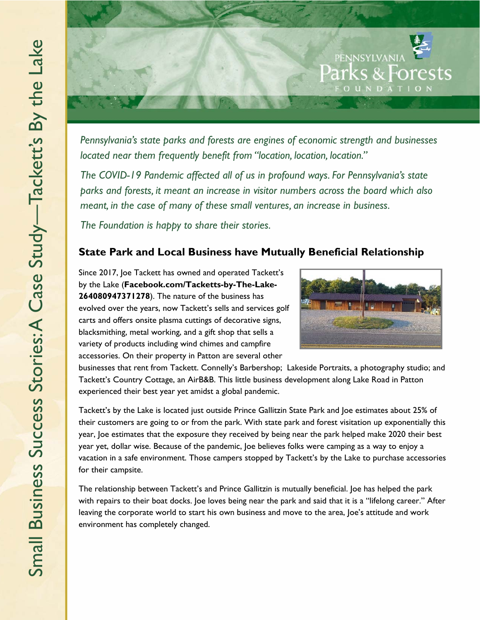

*Pennsylvania's state parks and forests are engines of economic strength and businesses located near them frequently benefit from "location, location, location."* 

*The COVID-19 Pandemic affected all of us in profound ways. For Pennsylvania's state parks and forests, it meant an increase in visitor numbers across the board which also meant, in the case of many of these small ventures, an increase in business.* 

*The Foundation is happy to share their stories.* 

## **State Park and Local Business have Mutually Beneficial Relationship**

Since 2017, Joe Tackett has owned and operated Tackett's by the Lake (**Facebook.com/Tacketts-by-The-Lake-264080947371278**). The nature of the business has evolved over the years, now Tackett's sells and services golf carts and offers onsite plasma cuttings of decorative signs, blacksmithing, metal working, and a gift shop that sells a variety of products including wind chimes and campfire accessories. On their property in Patton are several other



businesses that rent from Tackett. Connelly's Barbershop; Lakeside Portraits, a photography studio; and Tackett's Country Cottage, an AirB&B. This little business development along Lake Road in Patton experienced their best year yet amidst a global pandemic.

Tackett's by the Lake is located just outside Prince Gallitzin State Park and Joe estimates about 25% of their customers are going to or from the park. With state park and forest visitation up exponentially this year, Joe estimates that the exposure they received by being near the park helped make 2020 their best year yet, dollar wise. Because of the pandemic, Joe believes folks were camping as a way to enjoy a vacation in a safe environment. Those campers stopped by Tackett's by the Lake to purchase accessories for their campsite.

The relationship between Tackett's and Prince Gallitzin is mutually beneficial. Joe has helped the park with repairs to their boat docks. Joe loves being near the park and said that it is a "lifelong career." After leaving the corporate world to start his own business and move to the area, Joe's attitude and work environment has completely changed.